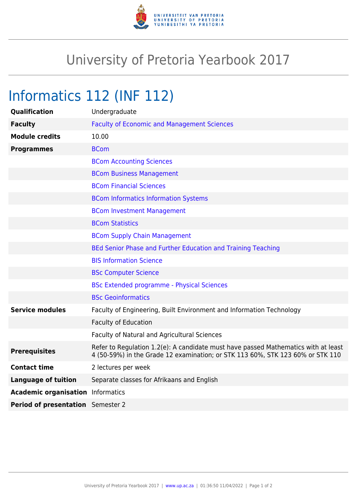

## University of Pretoria Yearbook 2017

## Informatics 112 (INF 112)

| Qualification                            | Undergraduate                                                                                                                                                        |
|------------------------------------------|----------------------------------------------------------------------------------------------------------------------------------------------------------------------|
| <b>Faculty</b>                           | <b>Faculty of Economic and Management Sciences</b>                                                                                                                   |
| <b>Module credits</b>                    | 10.00                                                                                                                                                                |
| <b>Programmes</b>                        | <b>BCom</b>                                                                                                                                                          |
|                                          | <b>BCom Accounting Sciences</b>                                                                                                                                      |
|                                          | <b>BCom Business Management</b>                                                                                                                                      |
|                                          | <b>BCom Financial Sciences</b>                                                                                                                                       |
|                                          | <b>BCom Informatics Information Systems</b>                                                                                                                          |
|                                          | <b>BCom Investment Management</b>                                                                                                                                    |
|                                          | <b>BCom Statistics</b>                                                                                                                                               |
|                                          | <b>BCom Supply Chain Management</b>                                                                                                                                  |
|                                          | BEd Senior Phase and Further Education and Training Teaching                                                                                                         |
|                                          | <b>BIS Information Science</b>                                                                                                                                       |
|                                          | <b>BSc Computer Science</b>                                                                                                                                          |
|                                          | <b>BSc Extended programme - Physical Sciences</b>                                                                                                                    |
|                                          | <b>BSc Geoinformatics</b>                                                                                                                                            |
| <b>Service modules</b>                   | Faculty of Engineering, Built Environment and Information Technology                                                                                                 |
|                                          | <b>Faculty of Education</b>                                                                                                                                          |
|                                          | Faculty of Natural and Agricultural Sciences                                                                                                                         |
| <b>Prerequisites</b>                     | Refer to Regulation 1.2(e): A candidate must have passed Mathematics with at least<br>4 (50-59%) in the Grade 12 examination; or STK 113 60%, STK 123 60% or STK 110 |
| <b>Contact time</b>                      | 2 lectures per week                                                                                                                                                  |
| <b>Language of tuition</b>               | Separate classes for Afrikaans and English                                                                                                                           |
| <b>Academic organisation</b> Informatics |                                                                                                                                                                      |
| Period of presentation Semester 2        |                                                                                                                                                                      |